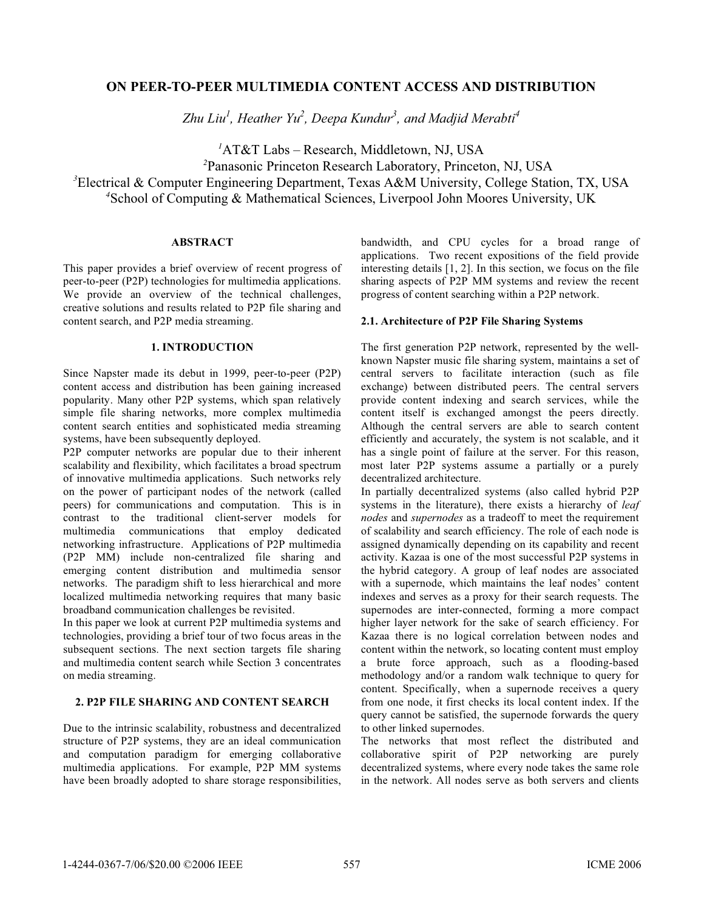# **ON PEER-TO-PEER MULTIMEDIA CONTENT ACCESS AND DISTRIBUTION**

*Zhu Liu1 , Heather Yu2 , Deepa Kundur3 , and Madjid Merabti<sup>4</sup>*

*1* AT&T Labs – Research, Middletown, NJ, USA

*2* Panasonic Princeton Research Laboratory, Princeton, NJ, USA

*3* Electrical & Computer Engineering Department, Texas A&M University, College Station, TX, USA *4* School of Computing & Mathematical Sciences, Liverpool John Moores University, UK

## **ABSTRACT**

This paper provides a brief overview of recent progress of peer-to-peer (P2P) technologies for multimedia applications. We provide an overview of the technical challenges, creative solutions and results related to P2P file sharing and content search, and P2P media streaming.

## **1. INTRODUCTION**

Since Napster made its debut in 1999, peer-to-peer (P2P) content access and distribution has been gaining increased popularity. Many other P2P systems, which span relatively simple file sharing networks, more complex multimedia content search entities and sophisticated media streaming systems, have been subsequently deployed.

P2P computer networks are popular due to their inherent scalability and flexibility, which facilitates a broad spectrum of innovative multimedia applications. Such networks rely on the power of participant nodes of the network (called peers) for communications and computation. This is in contrast to the traditional client-server models for multimedia communications that employ dedicated networking infrastructure. Applications of P2P multimedia (P2P MM) include non-centralized file sharing and emerging content distribution and multimedia sensor networks. The paradigm shift to less hierarchical and more localized multimedia networking requires that many basic broadband communication challenges be revisited.

In this paper we look at current P2P multimedia systems and technologies, providing a brief tour of two focus areas in the subsequent sections. The next section targets file sharing and multimedia content search while Section 3 concentrates on media streaming.

# **2. P2P FILE SHARING AND CONTENT SEARCH**

Due to the intrinsic scalability, robustness and decentralized structure of P2P systems, they are an ideal communication and computation paradigm for emerging collaborative multimedia applications. For example, P2P MM systems have been broadly adopted to share storage responsibilities, bandwidth, and CPU cycles for a broad range of applications. Two recent expositions of the field provide interesting details [1, 2]. In this section, we focus on the file sharing aspects of P2P MM systems and review the recent progress of content searching within a P2P network.

## **2.1. Architecture of P2P File Sharing Systems**

The first generation P2P network, represented by the wellknown Napster music file sharing system, maintains a set of central servers to facilitate interaction (such as file exchange) between distributed peers. The central servers provide content indexing and search services, while the content itself is exchanged amongst the peers directly. Although the central servers are able to search content efficiently and accurately, the system is not scalable, and it has a single point of failure at the server. For this reason, most later P2P systems assume a partially or a purely decentralized architecture.

In partially decentralized systems (also called hybrid P2P systems in the literature), there exists a hierarchy of *leaf nodes* and *supernodes* as a tradeoff to meet the requirement of scalability and search efficiency. The role of each node is assigned dynamically depending on its capability and recent activity. Kazaa is one of the most successful P2P systems in the hybrid category. A group of leaf nodes are associated with a supernode, which maintains the leaf nodes' content indexes and serves as a proxy for their search requests. The supernodes are inter-connected, forming a more compact higher layer network for the sake of search efficiency. For Kazaa there is no logical correlation between nodes and content within the network, so locating content must employ a brute force approach, such as a flooding-based methodology and/or a random walk technique to query for content. Specifically, when a supernode receives a query from one node, it first checks its local content index. If the query cannot be satisfied, the supernode forwards the query to other linked supernodes.

The networks that most reflect the distributed and collaborative spirit of P2P networking are purely decentralized systems, where every node takes the same role in the network. All nodes serve as both servers and clients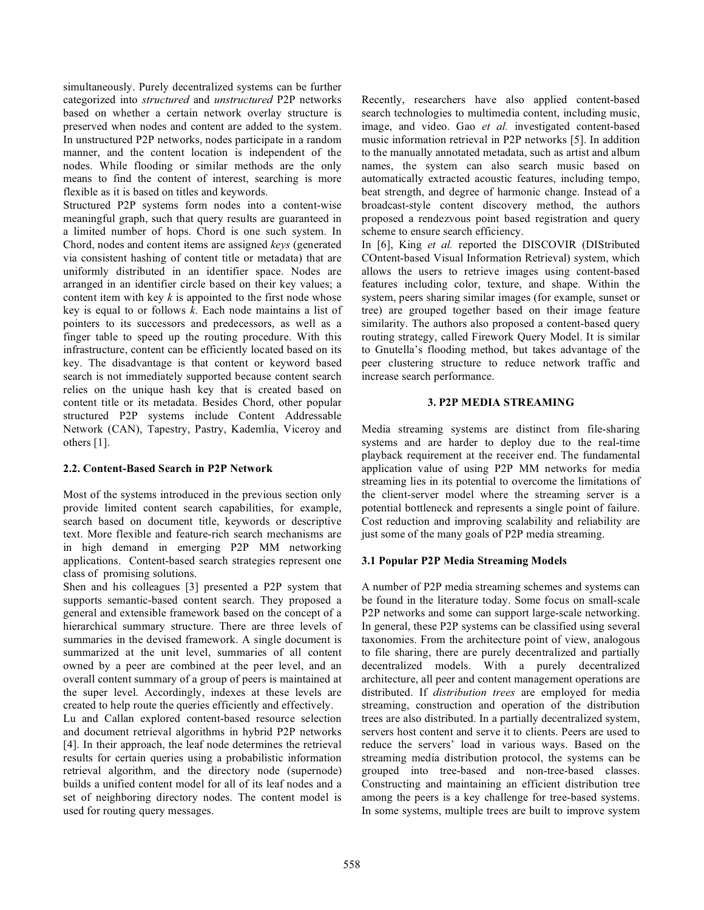simultaneously. Purely decentralized systems can be further categorized into *structured* and *unstructured* P2P networks based on whether a certain network overlay structure is preserved when nodes and content are added to the system. In unstructured P2P networks, nodes participate in a random manner, and the content location is independent of the nodes. While flooding or similar methods are the only means to find the content of interest, searching is more flexible as it is based on titles and keywords.

Structured P2P systems form nodes into a content-wise meaningful graph, such that query results are guaranteed in a limited number of hops. Chord is one such system. In Chord, nodes and content items are assigned *keys* (generated via consistent hashing of content title or metadata) that are uniformly distributed in an identifier space. Nodes are arranged in an identifier circle based on their key values; a content item with key  $k$  is appointed to the first node whose key is equal to or follows *k*. Each node maintains a list of pointers to its successors and predecessors, as well as a finger table to speed up the routing procedure. With this infrastructure, content can be efficiently located based on its key. The disadvantage is that content or keyword based search is not immediately supported because content search relies on the unique hash key that is created based on content title or its metadata. Besides Chord, other popular structured P2P systems include Content Addressable Network (CAN), Tapestry, Pastry, Kademlia, Viceroy and others [1].

## **2.2. Content-Based Search in P2P Network**

Most of the systems introduced in the previous section only provide limited content search capabilities, for example, search based on document title, keywords or descriptive text. More flexible and feature-rich search mechanisms are in high demand in emerging P2P MM networking applications. Content-based search strategies represent one class of promising solutions.

Shen and his colleagues [3] presented a P2P system that supports semantic-based content search. They proposed a general and extensible framework based on the concept of a hierarchical summary structure. There are three levels of summaries in the devised framework. A single document is summarized at the unit level, summaries of all content owned by a peer are combined at the peer level, and an overall content summary of a group of peers is maintained at the super level. Accordingly, indexes at these levels are created to help route the queries efficiently and effectively.

Lu and Callan explored content-based resource selection and document retrieval algorithms in hybrid P2P networks [4]. In their approach, the leaf node determines the retrieval results for certain queries using a probabilistic information retrieval algorithm, and the directory node (supernode) builds a unified content model for all of its leaf nodes and a set of neighboring directory nodes. The content model is used for routing query messages.

Recently, researchers have also applied content-based search technologies to multimedia content, including music, image, and video. Gao *et al.* investigated content-based music information retrieval in P2P networks [5]. In addition to the manually annotated metadata, such as artist and album names, the system can also search music based on automatically extracted acoustic features, including tempo, beat strength, and degree of harmonic change. Instead of a broadcast-style content discovery method, the authors proposed a rendezvous point based registration and query scheme to ensure search efficiency.

In [6], King *et al.* reported the DISCOVIR (DIStributed COntent-based Visual Information Retrieval) system, which allows the users to retrieve images using content-based features including color, texture, and shape. Within the system, peers sharing similar images (for example, sunset or tree) are grouped together based on their image feature similarity. The authors also proposed a content-based query routing strategy, called Firework Query Model. It is similar to Gnutella's flooding method, but takes advantage of the peer clustering structure to reduce network traffic and increase search performance.

#### **3. P2P MEDIA STREAMING**

Media streaming systems are distinct from file-sharing systems and are harder to deploy due to the real-time playback requirement at the receiver end. The fundamental application value of using P2P MM networks for media streaming lies in its potential to overcome the limitations of the client-server model where the streaming server is a potential bottleneck and represents a single point of failure. Cost reduction and improving scalability and reliability are just some of the many goals of P2P media streaming.

## **3.1 Popular P2P Media Streaming Models**

A number of P2P media streaming schemes and systems can be found in the literature today. Some focus on small-scale P2P networks and some can support large-scale networking. In general, these P2P systems can be classified using several taxonomies. From the architecture point of view, analogous to file sharing, there are purely decentralized and partially decentralized models. With a purely decentralized architecture, all peer and content management operations are distributed. If *distribution trees* are employed for media streaming, construction and operation of the distribution trees are also distributed. In a partially decentralized system, servers host content and serve it to clients. Peers are used to reduce the servers' load in various ways. Based on the streaming media distribution protocol, the systems can be grouped into tree-based and non-tree-based classes. Constructing and maintaining an efficient distribution tree among the peers is a key challenge for tree-based systems. In some systems, multiple trees are built to improve system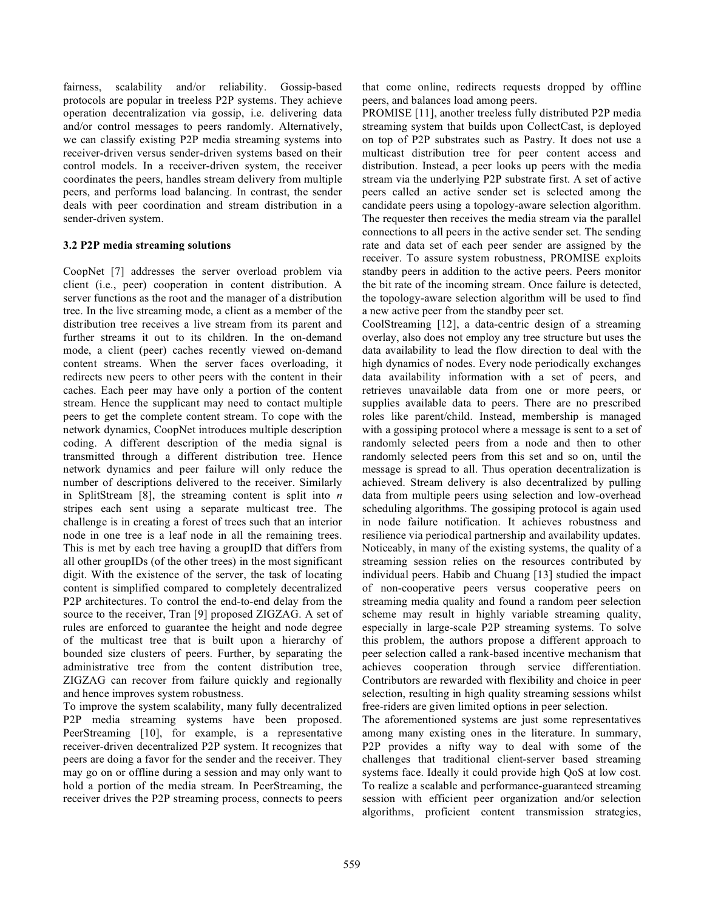fairness, scalability and/or reliability. Gossip-based protocols are popular in treeless P2P systems. They achieve operation decentralization via gossip, i.e. delivering data and/or control messages to peers randomly. Alternatively, we can classify existing P2P media streaming systems into receiver-driven versus sender-driven systems based on their control models. In a receiver-driven system, the receiver coordinates the peers, handles stream delivery from multiple peers, and performs load balancing. In contrast, the sender deals with peer coordination and stream distribution in a sender-driven system.

## **3.2 P2P media streaming solutions**

CoopNet [7] addresses the server overload problem via client (i.e., peer) cooperation in content distribution. A server functions as the root and the manager of a distribution tree. In the live streaming mode, a client as a member of the distribution tree receives a live stream from its parent and further streams it out to its children. In the on-demand mode, a client (peer) caches recently viewed on-demand content streams. When the server faces overloading, it redirects new peers to other peers with the content in their caches. Each peer may have only a portion of the content stream. Hence the supplicant may need to contact multiple peers to get the complete content stream. To cope with the network dynamics, CoopNet introduces multiple description coding. A different description of the media signal is transmitted through a different distribution tree. Hence network dynamics and peer failure will only reduce the number of descriptions delivered to the receiver. Similarly in SplitStream [8], the streaming content is split into *n* stripes each sent using a separate multicast tree. The challenge is in creating a forest of trees such that an interior node in one tree is a leaf node in all the remaining trees. This is met by each tree having a groupID that differs from all other groupIDs (of the other trees) in the most significant digit. With the existence of the server, the task of locating content is simplified compared to completely decentralized P2P architectures. To control the end-to-end delay from the source to the receiver, Tran [9] proposed ZIGZAG. A set of rules are enforced to guarantee the height and node degree of the multicast tree that is built upon a hierarchy of bounded size clusters of peers. Further, by separating the administrative tree from the content distribution tree, ZIGZAG can recover from failure quickly and regionally and hence improves system robustness.

To improve the system scalability, many fully decentralized P2P media streaming systems have been proposed. PeerStreaming [10], for example, is a representative receiver-driven decentralized P2P system. It recognizes that peers are doing a favor for the sender and the receiver. They may go on or offline during a session and may only want to hold a portion of the media stream. In PeerStreaming, the receiver drives the P2P streaming process, connects to peers that come online, redirects requests dropped by offline peers, and balances load among peers.

PROMISE [11], another treeless fully distributed P2P media streaming system that builds upon CollectCast, is deployed on top of P2P substrates such as Pastry. It does not use a multicast distribution tree for peer content access and distribution. Instead, a peer looks up peers with the media stream via the underlying P2P substrate first. A set of active peers called an active sender set is selected among the candidate peers using a topology-aware selection algorithm. The requester then receives the media stream via the parallel connections to all peers in the active sender set. The sending rate and data set of each peer sender are assigned by the receiver. To assure system robustness, PROMISE exploits standby peers in addition to the active peers. Peers monitor the bit rate of the incoming stream. Once failure is detected, the topology-aware selection algorithm will be used to find a new active peer from the standby peer set.

CoolStreaming [12], a data-centric design of a streaming overlay, also does not employ any tree structure but uses the data availability to lead the flow direction to deal with the high dynamics of nodes. Every node periodically exchanges data availability information with a set of peers, and retrieves unavailable data from one or more peers, or supplies available data to peers. There are no prescribed roles like parent/child. Instead, membership is managed with a gossiping protocol where a message is sent to a set of randomly selected peers from a node and then to other randomly selected peers from this set and so on, until the message is spread to all. Thus operation decentralization is achieved. Stream delivery is also decentralized by pulling data from multiple peers using selection and low-overhead scheduling algorithms. The gossiping protocol is again used in node failure notification. It achieves robustness and resilience via periodical partnership and availability updates. Noticeably, in many of the existing systems, the quality of a streaming session relies on the resources contributed by individual peers. Habib and Chuang [13] studied the impact of non-cooperative peers versus cooperative peers on streaming media quality and found a random peer selection scheme may result in highly variable streaming quality, especially in large-scale P2P streaming systems. To solve this problem, the authors propose a different approach to peer selection called a rank-based incentive mechanism that achieves cooperation through service differentiation. Contributors are rewarded with flexibility and choice in peer selection, resulting in high quality streaming sessions whilst free-riders are given limited options in peer selection.

The aforementioned systems are just some representatives among many existing ones in the literature. In summary, P2P provides a nifty way to deal with some of the challenges that traditional client-server based streaming systems face. Ideally it could provide high QoS at low cost. To realize a scalable and performance-guaranteed streaming session with efficient peer organization and/or selection algorithms, proficient content transmission strategies,